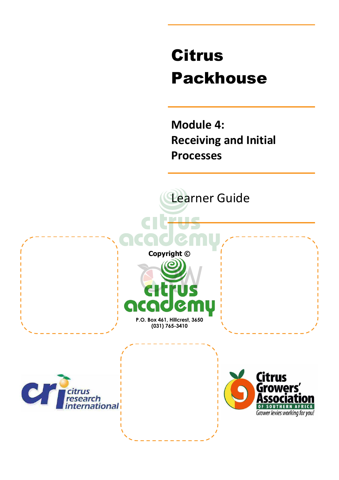# Citrus Packhouse

**Module 4: Receiving and Initial Processes** 

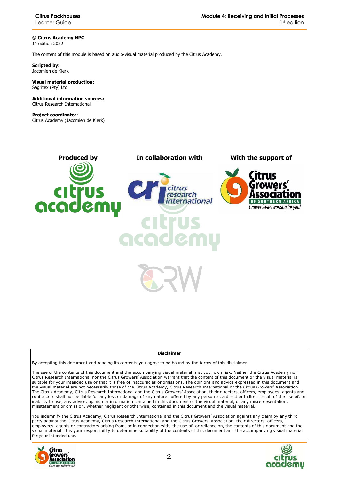**© Citrus Academy NPC**  1 st edition 2022

The content of this module is based on audio-visual material produced by the Citrus Academy.

**Scripted by:**  Jacomien de Klerk

#### **Visual material production:**  Sagritex (Pty) Ltd

**Additional information sources:**  Citrus Research International

**Project coordinator:** Citrus Academy (Jacomien de Klerk)



#### **Disclaimer**

By accepting this document and reading its contents you agree to be bound by the terms of this disclaimer.

The use of the contents of this document and the accompanying visual material is at your own risk. Neither the Citrus Academy nor Citrus Research International nor the Citrus Growers' Association warrant that the content of this document or the visual material is suitable for your intended use or that it is free of inaccuracies or omissions. The opinions and advice expressed in this document and the visual material are not necessarily those of the Citrus Academy, Citrus Research International or the Citrus Growers' Association. The Citrus Academy, Citrus Research International and the Citrus Growers' Association, their directors, officers, employees, agents and contractors shall not be liable for any loss or damage of any nature suffered by any person as a direct or indirect result of the use of, or inability to use, any advice, opinion or information contained in this document or the visual material, or any misrepresentation, misstatement or omission, whether negligent or otherwise, contained in this document and the visual material.

You indemnify the Citrus Academy, Citrus Research International and the Citrus Growers' Association against any claim by any third party against the Citrus Academy, Citrus Research International and the Citrus Growers' Association, their directors, officers, employees, agents or contractors arising from, or in connection with, the use of, or reliance on, the contents of this document and the visual material. It is your responsibility to determine suitability of the contents of this document and the accompanying visual material for your intended use.



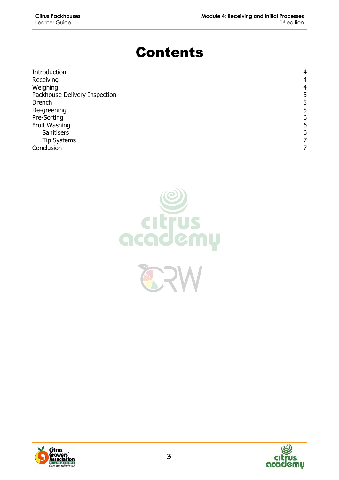# Contents

| Introduction                  | 4              |
|-------------------------------|----------------|
| Receiving                     | $\overline{4}$ |
| Weighing                      | 4              |
| Packhouse Delivery Inspection | 5              |
| Drench                        | 5              |
| De-greening                   | 5              |
| Pre-Sorting                   | 6              |
| Fruit Washing                 | 6              |
| Sanitisers                    | 6              |
| <b>Tip Systems</b>            | 7              |
| Conclusion                    |                |





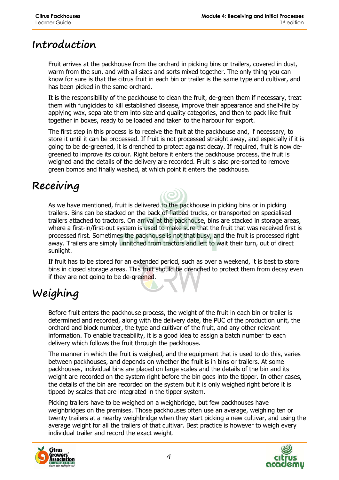### **Introduction**

Fruit arrives at the packhouse from the orchard in picking bins or trailers, covered in dust, warm from the sun, and with all sizes and sorts mixed together. The only thing you can know for sure is that the citrus fruit in each bin or trailer is the same type and cultivar, and has been picked in the same orchard.

It is the responsibility of the packhouse to clean the fruit, de-green them if necessary, treat them with fungicides to kill established disease, improve their appearance and shelf-life by applying wax, separate them into size and quality categories, and then to pack like fruit together in boxes, ready to be loaded and taken to the harbour for export.

The first step in this process is to receive the fruit at the packhouse and, if necessary, to store it until it can be processed. If fruit is not processed straight away, and especially if it is going to be de-greened, it is drenched to protect against decay. If required, fruit is now degreened to improve its colour. Right before it enters the packhouse process, the fruit is weighed and the details of the delivery are recorded. Fruit is also pre-sorted to remove green bombs and finally washed, at which point it enters the packhouse.

## **Receiving**

As we have mentioned, fruit is delivered to the packhouse in picking bins or in picking trailers. Bins can be stacked on the back of flatbed trucks, or transported on specialised trailers attached to tractors. On arrival at the packhouse, bins are stacked in storage areas, where a first-in/first-out system is used to make sure that the fruit that was received first is processed first. Sometimes the packhouse is not that busy, and the fruit is processed right away. Trailers are simply unhitched from tractors and left to wait their turn, out of direct sunlight.

If fruit has to be stored for an extended period, such as over a weekend, it is best to store bins in closed storage areas. This fruit should be drenched to protect them from decay even if they are not going to be de-greened.

# **Weighing**

Before fruit enters the packhouse process, the weight of the fruit in each bin or trailer is determined and recorded, along with the delivery date, the PUC of the production unit, the orchard and block number, the type and cultivar of the fruit, and any other relevant information. To enable traceability, it is a good idea to assign a batch number to each delivery which follows the fruit through the packhouse.

The manner in which the fruit is weighed, and the equipment that is used to do this, varies between packhouses, and depends on whether the fruit is in bins or trailers. At some packhouses, individual bins are placed on large scales and the details of the bin and its weight are recorded on the system right before the bin goes into the tipper. In other cases, the details of the bin are recorded on the system but it is only weighed right before it is tipped by scales that are integrated in the tipper system.

Picking trailers have to be weighed on a weighbridge, but few packhouses have weighbridges on the premises. Those packhouses often use an average, weighing ten or twenty trailers at a nearby weighbridge when they start picking a new cultivar, and using the average weight for all the trailers of that cultivar. Best practice is however to weigh every individual trailer and record the exact weight.



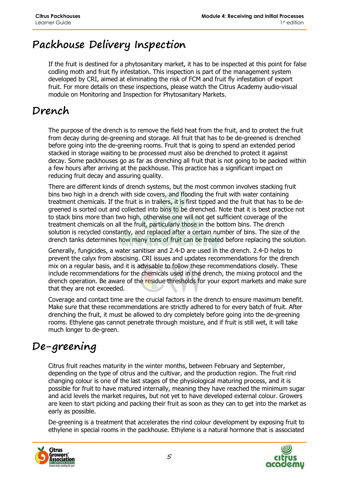### **Packhouse Delivery Inspection**

If the fruit is destined for a phytosanitary market, it has to be inspected at this point for false codling moth and fruit fly infestation. This inspection is part of the management system developed by CRI, aimed at eliminating the risk of FCM and fruit fly infestation of export fruit. For more details on these inspections, please watch the Citrus Academy audio-visual module on Monitoring and Inspection for Phytosanitary Markets.

#### **Drench**

The purpose of the drench is to remove the field heat from the fruit, and to protect the fruit from decay during de-greening and storage. All fruit that has to be de-greened is drenched before going into the de-greening rooms. Fruit that is going to spend an extended period stacked in storage waiting to be processed must also be drenched to protect it against decay. Some packhouses go as far as drenching all fruit that is not going to be packed within a few hours after arriving at the packhouse. This practice has a significant impact on reducing fruit decay and assuring quality.

There are different kinds of drench systems, but the most common involves stacking fruit bins two high in a drench with side covers, and flooding the fruit with water containing treatment chemicals. If the fruit is in trailers, it is first tipped and the fruit that has to be degreened is sorted out and collected into bins to be drenched. Note that it is best practice not to stack bins more than two high, otherwise one will not get sufficient coverage of the treatment chemicals on all the fruit, particularly those in the bottom bins. The drench solution is recycled constantly, and replaced after a certain number of bins. The size of the drench tanks determines how many tons of fruit can be treated before replacing the solution.

Generally, fungicides, a water sanitiser and 2.4-D are used in the drench. 2.4-D helps to prevent the calyx from abscising. CRI issues and updates recommendations for the drench mix on a regular basis, and it is advisable to follow these recommendations closely. These include recommendations for the chemicals used in the drench, the mixing protocol and the drench operation. Be aware of the residue thresholds for your export markets and make sure that they are not exceeded.

Coverage and contact time are the crucial factors in the drench to ensure maximum benefit. Make sure that these recommendations are strictly adhered to for every batch of fruit. After drenching the fruit, it must be allowed to dry completely before going into the de-greening rooms. Ethylene gas cannot penetrate through moisture, and if fruit is still wet, it will take much longer to de-green.

# **De-greening**

Citrus fruit reaches maturity in the winter months, between February and September, depending on the type of citrus and the cultivar, and the production region. The fruit rind changing colour is one of the last stages of the physiological maturing process, and it is possible for fruit to have matured internally, meaning they have reached the minimum sugar and acid levels the market requires, but not yet to have developed external colour. Growers are keen to start picking and packing their fruit as soon as they can to get into the market as early as possible.

De-greening is a treatment that accelerates the rind colour development by exposing fruit to ethylene in special rooms in the packhouse. Ethylene is a natural hormone that is associated



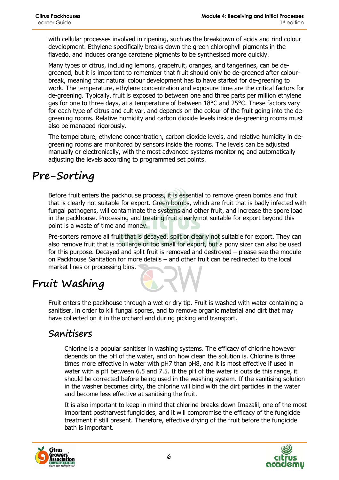with cellular processes involved in ripening, such as the breakdown of acids and rind colour development. Ethylene specifically breaks down the green chlorophyll pigments in the flavedo, and induces orange carotene pigments to be synthesised more quickly.

Many types of citrus, including lemons, grapefruit, oranges, and tangerines, can be degreened, but it is important to remember that fruit should only be de-greened after colourbreak, meaning that natural colour development has to have started for de-greening to work. The temperature, ethylene concentration and exposure time are the critical factors for de-greening. Typically, fruit is exposed to between one and three parts per million ethylene gas for one to three days, at a temperature of between 18°C and 25°C. These factors vary for each type of citrus and cultivar, and depends on the colour of the fruit going into the degreening rooms. Relative humidity and carbon dioxide levels inside de-greening rooms must also be managed rigorously.

The temperature, ethylene concentration, carbon dioxide levels, and relative humidity in degreening rooms are monitored by sensors inside the rooms. The levels can be adjusted manually or electronically, with the most advanced systems monitoring and automatically adjusting the levels according to programmed set points.

#### **Pre-Sorting**

Before fruit enters the packhouse process, it is essential to remove green bombs and fruit that is clearly not suitable for export. Green bombs, which are fruit that is badly infected with fungal pathogens, will contaminate the systems and other fruit, and increase the spore load in the packhouse. Processing and treating fruit clearly not suitable for export beyond this point is a waste of time and money.

Pre-sorters remove all fruit that is decayed, split or clearly not suitable for export. They can also remove fruit that is too large or too small for export, but a pony sizer can also be used for this purpose. Decayed and split fruit is removed and destroyed – please see the module on Packhouse Sanitation for more details – and other fruit can be redirected to the local market lines or processing bins.

#### **Fruit Washing**

Fruit enters the packhouse through a wet or dry tip. Fruit is washed with water containing a sanitiser, in order to kill fungal spores, and to remove organic material and dirt that may have collected on it in the orchard and during picking and transport.

#### **Sanitisers**

Chlorine is a popular sanitiser in washing systems. The efficacy of chlorine however depends on the pH of the water, and on how clean the solution is. Chlorine is three times more effective in water with pH7 than pH8, and it is most effective if used in water with a pH between 6.5 and 7.5. If the pH of the water is outside this range, it should be corrected before being used in the washing system. If the sanitising solution in the washer becomes dirty, the chlorine will bind with the dirt particles in the water and become less effective at sanitising the fruit.

It is also important to keep in mind that chlorine breaks down Imazalil, one of the most important postharvest fungicides, and it will compromise the efficacy of the fungicide treatment if still present. Therefore, effective drying of the fruit before the fungicide bath is important.